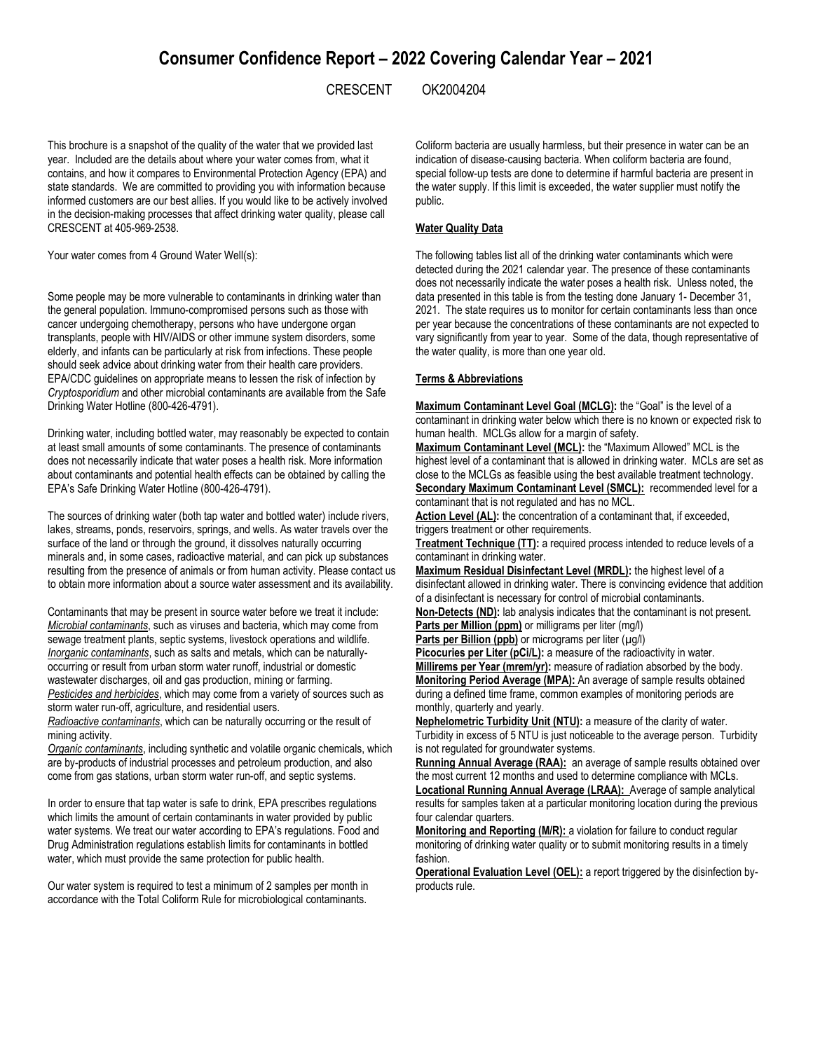# **Consumer Confidence Report – 2022 Covering Calendar Year – 2021**

CRESCENT OK2004204

This brochure is a snapshot of the quality of the water that we provided last year. Included are the details about where your water comes from, what it contains, and how it compares to Environmental Protection Agency (EPA) and state standards. We are committed to providing you with information because informed customers are our best allies. If you would like to be actively involved in the decision-making processes that affect drinking water quality, please call CRESCENT at 405-969-2538.

Your water comes from 4 Ground Water Well(s):

Some people may be more vulnerable to contaminants in drinking water than the general population. Immuno-compromised persons such as those with cancer undergoing chemotherapy, persons who have undergone organ transplants, people with HIV/AIDS or other immune system disorders, some elderly, and infants can be particularly at risk from infections. These people should seek advice about drinking water from their health care providers. EPA/CDC guidelines on appropriate means to lessen the risk of infection by *Cryptosporidium* and other microbial contaminants are available from the Safe Drinking Water Hotline (800-426-4791).

Drinking water, including bottled water, may reasonably be expected to contain at least small amounts of some contaminants. The presence of contaminants does not necessarily indicate that water poses a health risk. More information about contaminants and potential health effects can be obtained by calling the EPA's Safe Drinking Water Hotline (800-426-4791).

The sources of drinking water (both tap water and bottled water) include rivers, lakes, streams, ponds, reservoirs, springs, and wells. As water travels over the surface of the land or through the ground, it dissolves naturally occurring minerals and, in some cases, radioactive material, and can pick up substances resulting from the presence of animals or from human activity. Please contact us to obtain more information about a source water assessment and its availability.

Contaminants that may be present in source water before we treat it include: *Microbial contaminants*, such as viruses and bacteria, which may come from sewage treatment plants, septic systems, livestock operations and wildlife. *Inorganic contaminants*, such as salts and metals, which can be naturallyoccurring or result from urban storm water runoff, industrial or domestic wastewater discharges, oil and gas production, mining or farming. *Pesticides and herbicides*, which may come from a variety of sources such as storm water run-off, agriculture, and residential users.

*Radioactive contaminants*, which can be naturally occurring or the result of mining activity.

*Organic contaminants*, including synthetic and volatile organic chemicals, which are by-products of industrial processes and petroleum production, and also come from gas stations, urban storm water run-off, and septic systems.

In order to ensure that tap water is safe to drink, EPA prescribes regulations which limits the amount of certain contaminants in water provided by public water systems. We treat our water according to EPA's regulations. Food and Drug Administration regulations establish limits for contaminants in bottled water, which must provide the same protection for public health.

Our water system is required to test a minimum of 2 samples per month in accordance with the Total Coliform Rule for microbiological contaminants.

Coliform bacteria are usually harmless, but their presence in water can be an indication of disease-causing bacteria. When coliform bacteria are found, special follow-up tests are done to determine if harmful bacteria are present in the water supply. If this limit is exceeded, the water supplier must notify the public.

#### **Water Quality Data**

The following tables list all of the drinking water contaminants which were detected during the 2021 calendar year. The presence of these contaminants does not necessarily indicate the water poses a health risk. Unless noted, the data presented in this table is from the testing done January 1- December 31, 2021. The state requires us to monitor for certain contaminants less than once per year because the concentrations of these contaminants are not expected to vary significantly from year to year. Some of the data, though representative of the water quality, is more than one year old.

# **Terms & Abbreviations**

**Maximum Contaminant Level Goal (MCLG):** the "Goal" is the level of a contaminant in drinking water below which there is no known or expected risk to human health. MCLGs allow for a margin of safety.

**Maximum Contaminant Level (MCL):** the "Maximum Allowed" MCL is the highest level of a contaminant that is allowed in drinking water. MCLs are set as close to the MCLGs as feasible using the best available treatment technology. **Secondary Maximum Contaminant Level (SMCL):** recommended level for a

contaminant that is not regulated and has no MCL.

Action Level (AL): the concentration of a contaminant that, if exceeded, triggers treatment or other requirements.

**Treatment Technique (TT):** a required process intended to reduce levels of a contaminant in drinking water.

**Maximum Residual Disinfectant Level (MRDL):** the highest level of a disinfectant allowed in drinking water. There is convincing evidence that addition of a disinfectant is necessary for control of microbial contaminants.

**Non-Detects (ND):** lab analysis indicates that the contaminant is not present. **Parts per Million (ppm)** or milligrams per liter (mg/l)

Parts per Billion (ppb) or micrograms per liter (µg/l)

Picocuries per Liter (pCi/L): a measure of the radioactivity in water. **Millirems per Year (mrem/yr):** measure of radiation absorbed by the body. **Monitoring Period Average (MPA):** An average of sample results obtained during a defined time frame, common examples of monitoring periods are monthly, quarterly and yearly.

**Nephelometric Turbidity Unit (NTU):** a measure of the clarity of water. Turbidity in excess of 5 NTU is just noticeable to the average person. Turbidity is not regulated for groundwater systems.

**Running Annual Average (RAA):** an average of sample results obtained over the most current 12 months and used to determine compliance with MCLs.

**Locational Running Annual Average (LRAA):** Average of sample analytical results for samples taken at a particular monitoring location during the previous four calendar quarters.

**Monitoring and Reporting (M/R):** a violation for failure to conduct regular monitoring of drinking water quality or to submit monitoring results in a timely fashion.

**Operational Evaluation Level (OEL):** a report triggered by the disinfection byproducts rule.